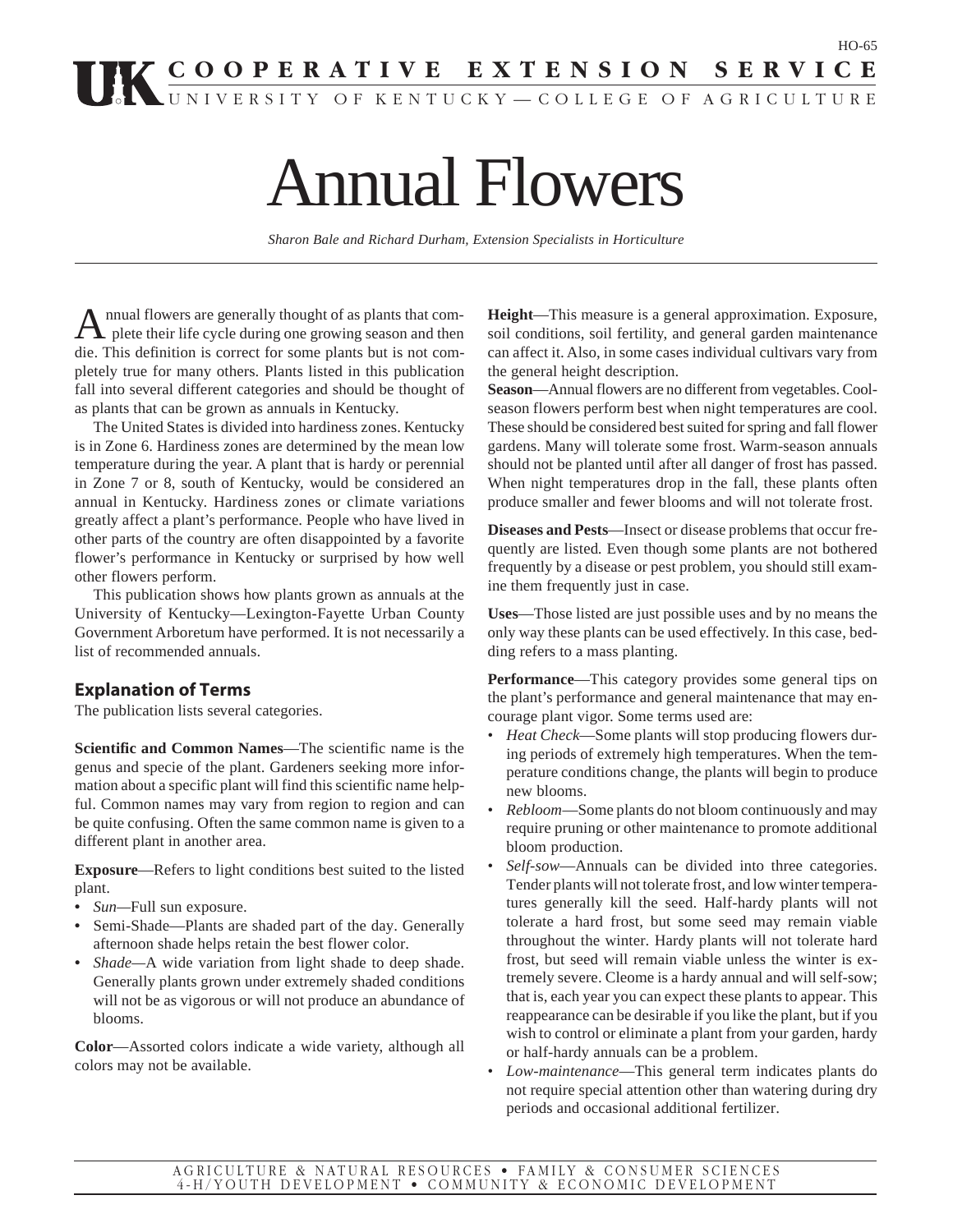# **COOPERATIVE EXTENSION SERVICE**

UNIVERSITY OF KENTUCKY—COLLEGE OF AGRICULTURE

# Annual Flowers

*Sharon Bale and Richard Durham, Extension Specialists in Horticulture*

Annual flowers are generally thought of as plants that com-plete their life cycle during one growing season and then die. This definition is correct for some plants but is not completely true for many others. Plants listed in this publication fall into several different categories and should be thought of as plants that can be grown as annuals in Kentucky.

The United States is divided into hardiness zones. Kentucky is in Zone 6. Hardiness zones are determined by the mean low temperature during the year. A plant that is hardy or perennial in Zone 7 or 8, south of Kentucky, would be considered an annual in Kentucky. Hardiness zones or climate variations greatly affect a plant's performance. People who have lived in other parts of the country are often disappointed by a favorite flower's performance in Kentucky or surprised by how well other flowers perform.

This publication shows how plants grown as annuals at the University of Kentucky—Lexington-Fayette Urban County Government Arboretum have performed. It is not necessarily a list of recommended annuals.

### **Explanation of Terms**

The publication lists several categories.

**Scientific and Common Names**—The scientific name is the genus and specie of the plant. Gardeners seeking more information about a specific plant will find this scientific name helpful. Common names may vary from region to region and can be quite confusing. Often the same common name is given to a different plant in another area.

**Exposure**—Refers to light conditions best suited to the listed plant.

- **•** *Sun—*Full sun exposure.
- **•** Semi-Shade—Plants are shaded part of the day. Generally afternoon shade helps retain the best flower color.
- *• Shade—*A wide variation from light shade to deep shade. Generally plants grown under extremely shaded conditions will not be as vigorous or will not produce an abundance of blooms.

**Color**—Assorted colors indicate a wide variety, although all colors may not be available.

**Height**—This measure is a general approximation. Exposure, soil conditions, soil fertility, and general garden maintenance can affect it. Also, in some cases individual cultivars vary from the general height description.

HO-65

**Season**—Annual flowers are no different from vegetables. Coolseason flowers perform best when night temperatures are cool. These should be considered best suited for spring and fall flower gardens. Many will tolerate some frost. Warm-season annuals should not be planted until after all danger of frost has passed. When night temperatures drop in the fall, these plants often produce smaller and fewer blooms and will not tolerate frost.

**Diseases and Pests**—Insect or disease problems that occur frequently are listed. Even though some plants are not bothered frequently by a disease or pest problem, you should still examine them frequently just in case.

**Uses**—Those listed are just possible uses and by no means the only way these plants can be used effectively. In this case, bedding refers to a mass planting.

**Performance**—This category provides some general tips on the plant's performance and general maintenance that may encourage plant vigor. Some terms used are:

- *Heat Check*—Some plants will stop producing flowers during periods of extremely high temperatures. When the temperature conditions change, the plants will begin to produce new blooms.
- *Rebloom*—Some plants do not bloom continuously and may require pruning or other maintenance to promote additional bloom production.
- *Self-sow*—Annuals can be divided into three categories. Tender plants will not tolerate frost, and low winter temperatures generally kill the seed. Half-hardy plants will not tolerate a hard frost, but some seed may remain viable throughout the winter. Hardy plants will not tolerate hard frost, but seed will remain viable unless the winter is extremely severe. Cleome is a hardy annual and will self-sow; that is, each year you can expect these plants to appear. This reappearance can be desirable if you like the plant, but if you wish to control or eliminate a plant from your garden, hardy or half-hardy annuals can be a problem.
- *Low-maintenance*—This general term indicates plants do not require special attention other than watering during dry periods and occasional additional fertilizer.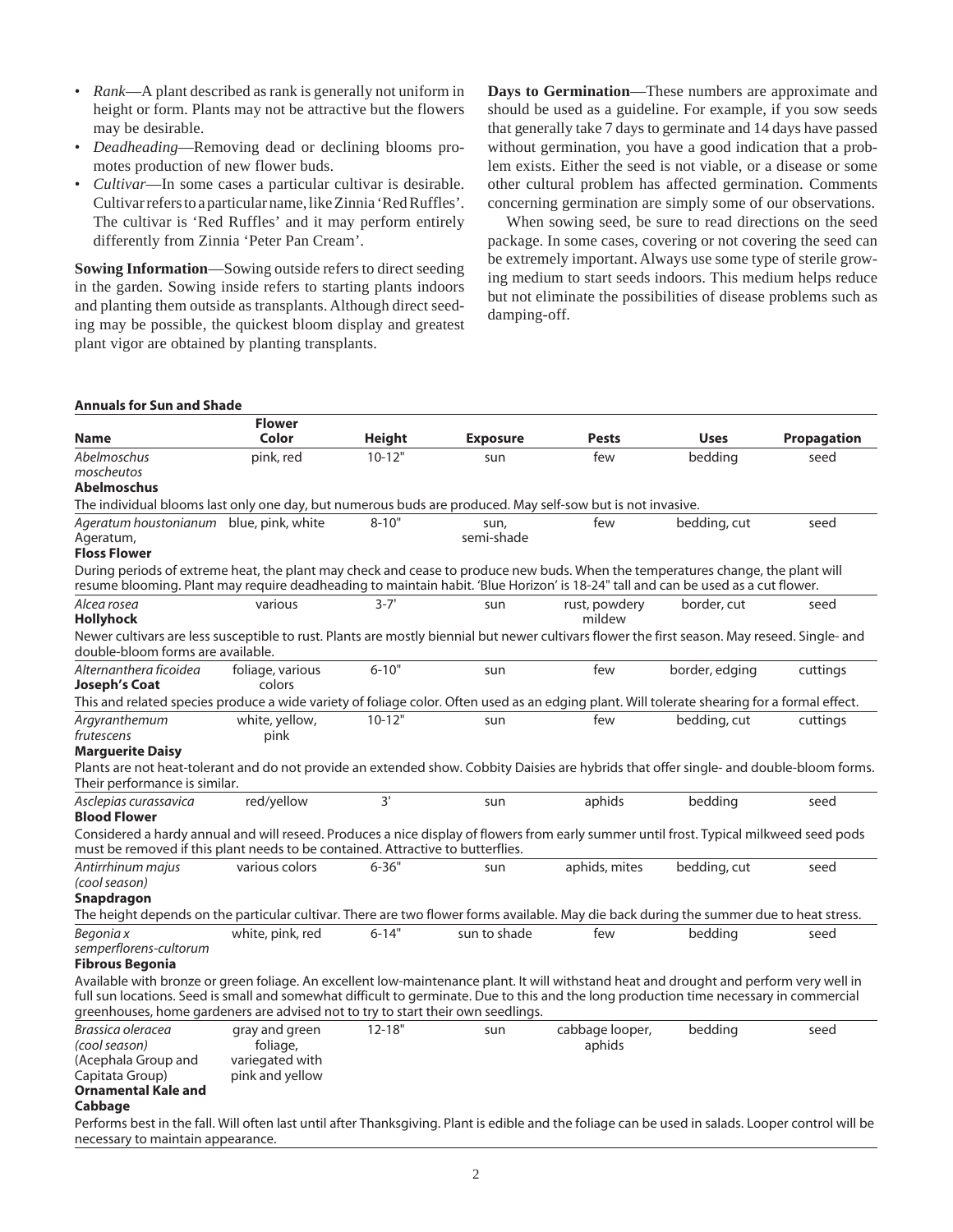- *Rank*—A plant described as rank is generally not uniform in height or form. Plants may not be attractive but the flowers may be desirable.
- *Deadheading*—Removing dead or declining blooms promotes production of new flower buds.
- *Cultivar*—In some cases a particular cultivar is desirable. Cultivar refers to a particular name, like Zinnia 'Red Ruffles'. The cultivar is 'Red Ruffles' and it may perform entirely differently from Zinnia 'Peter Pan Cream'.

**Sowing Information**—Sowing outside refers to direct seeding in the garden. Sowing inside refers to starting plants indoors and planting them outside as transplants. Although direct seeding may be possible, the quickest bloom display and greatest plant vigor are obtained by planting transplants.

**Days to Germination**—These numbers are approximate and should be used as a guideline. For example, if you sow seeds that generally take 7 days to germinate and 14 days have passed without germination, you have a good indication that a problem exists. Either the seed is not viable, or a disease or some other cultural problem has affected germination. Comments concerning germination are simply some of our observations.

When sowing seed, be sure to read directions on the seed package. In some cases, covering or not covering the seed can be extremely important. Always use some type of sterile growing medium to start seeds indoors. This medium helps reduce but not eliminate the possibilities of disease problems such as damping-off.

#### **Annuals for Sun and Shade**

|                                                                                                                                                                                                                            | <b>Flower</b>    |               |                 |                 |                |                    |
|----------------------------------------------------------------------------------------------------------------------------------------------------------------------------------------------------------------------------|------------------|---------------|-----------------|-----------------|----------------|--------------------|
| <b>Name</b>                                                                                                                                                                                                                | Color            | <b>Height</b> | <b>Exposure</b> | Pests           | <b>Uses</b>    | <b>Propagation</b> |
| Abelmoschus                                                                                                                                                                                                                | pink, red        | $10 - 12"$    | sun             | few             | bedding        | seed               |
| moscheutos                                                                                                                                                                                                                 |                  |               |                 |                 |                |                    |
| <b>Abelmoschus</b>                                                                                                                                                                                                         |                  |               |                 |                 |                |                    |
| The individual blooms last only one day, but numerous buds are produced. May self-sow but is not invasive.                                                                                                                 |                  |               |                 |                 |                |                    |
| Ageratum houstonianum blue, pink, white                                                                                                                                                                                    |                  | $8 - 10"$     | sun,            | few             | bedding, cut   | seed               |
| Ageratum,<br><b>Floss Flower</b>                                                                                                                                                                                           |                  |               | semi-shade      |                 |                |                    |
| During periods of extreme heat, the plant may check and cease to produce new buds. When the temperatures change, the plant will                                                                                            |                  |               |                 |                 |                |                    |
| resume blooming. Plant may require deadheading to maintain habit. 'Blue Horizon' is 18-24" tall and can be used as a cut flower.                                                                                           |                  |               |                 |                 |                |                    |
| Alcea rosea                                                                                                                                                                                                                | various          | $3 - 7'$      | sun             | rust, powdery   | border, cut    | seed               |
| <b>Hollyhock</b>                                                                                                                                                                                                           |                  |               |                 | mildew          |                |                    |
| Newer cultivars are less susceptible to rust. Plants are mostly biennial but newer cultivars flower the first season. May reseed. Single- and<br>double-bloom forms are available.                                         |                  |               |                 |                 |                |                    |
| Alternanthera ficoidea                                                                                                                                                                                                     | foliage, various | $6 - 10"$     | sun             | few             | border, edging | cuttings           |
| <b>Joseph's Coat</b>                                                                                                                                                                                                       | colors           |               |                 |                 |                |                    |
| This and related species produce a wide variety of foliage color. Often used as an edging plant. Will tolerate shearing for a formal effect.                                                                               |                  |               |                 |                 |                |                    |
| Argyranthemum                                                                                                                                                                                                              | white, yellow,   | $10 - 12"$    | sun             | few             | bedding, cut   | cuttings           |
| frutescens                                                                                                                                                                                                                 | pink             |               |                 |                 |                |                    |
| <b>Marguerite Daisy</b>                                                                                                                                                                                                    |                  |               |                 |                 |                |                    |
| Plants are not heat-tolerant and do not provide an extended show. Cobbity Daisies are hybrids that offer single- and double-bloom forms.<br>Their performance is similar.                                                  |                  |               |                 |                 |                |                    |
| Asclepias curassavica<br><b>Blood Flower</b>                                                                                                                                                                               | red/yellow       | 3'            | sun             | aphids          | bedding        | seed               |
| Considered a hardy annual and will reseed. Produces a nice display of flowers from early summer until frost. Typical milkweed seed pods<br>must be removed if this plant needs to be contained. Attractive to butterflies. |                  |               |                 |                 |                |                    |
| Antirrhinum majus                                                                                                                                                                                                          | various colors   | $6 - 36"$     | sun             | aphids, mites   | bedding, cut   | seed               |
| (cool season)                                                                                                                                                                                                              |                  |               |                 |                 |                |                    |
| Snapdragon                                                                                                                                                                                                                 |                  |               |                 |                 |                |                    |
| The height depends on the particular cultivar. There are two flower forms available. May die back during the summer due to heat stress.                                                                                    |                  |               |                 |                 |                |                    |
| Begonia x                                                                                                                                                                                                                  | white, pink, red | $6 - 14"$     | sun to shade    | few             | bedding        | seed               |
| semperflorens-cultorum<br><b>Fibrous Begonia</b>                                                                                                                                                                           |                  |               |                 |                 |                |                    |
| Available with bronze or green foliage. An excellent low-maintenance plant. It will withstand heat and drought and perform very well in                                                                                    |                  |               |                 |                 |                |                    |
| full sun locations. Seed is small and somewhat difficult to germinate. Due to this and the long production time necessary in commercial                                                                                    |                  |               |                 |                 |                |                    |
| greenhouses, home gardeners are advised not to try to start their own seedlings.                                                                                                                                           |                  |               |                 |                 |                |                    |
| Brassica oleracea                                                                                                                                                                                                          | gray and green   | $12 - 18"$    | sun             | cabbage looper, | bedding        | seed               |
| (cool season)                                                                                                                                                                                                              | foliage,         |               |                 | aphids          |                |                    |
| (Acephala Group and                                                                                                                                                                                                        | variegated with  |               |                 |                 |                |                    |
| Capitata Group)                                                                                                                                                                                                            | pink and yellow  |               |                 |                 |                |                    |
| <b>Ornamental Kale and</b><br>Cabbago                                                                                                                                                                                      |                  |               |                 |                 |                |                    |

#### **Cabbage**

Performs best in the fall. Will often last until after Thanksgiving. Plant is edible and the foliage can be used in salads. Looper control will be necessary to maintain appearance.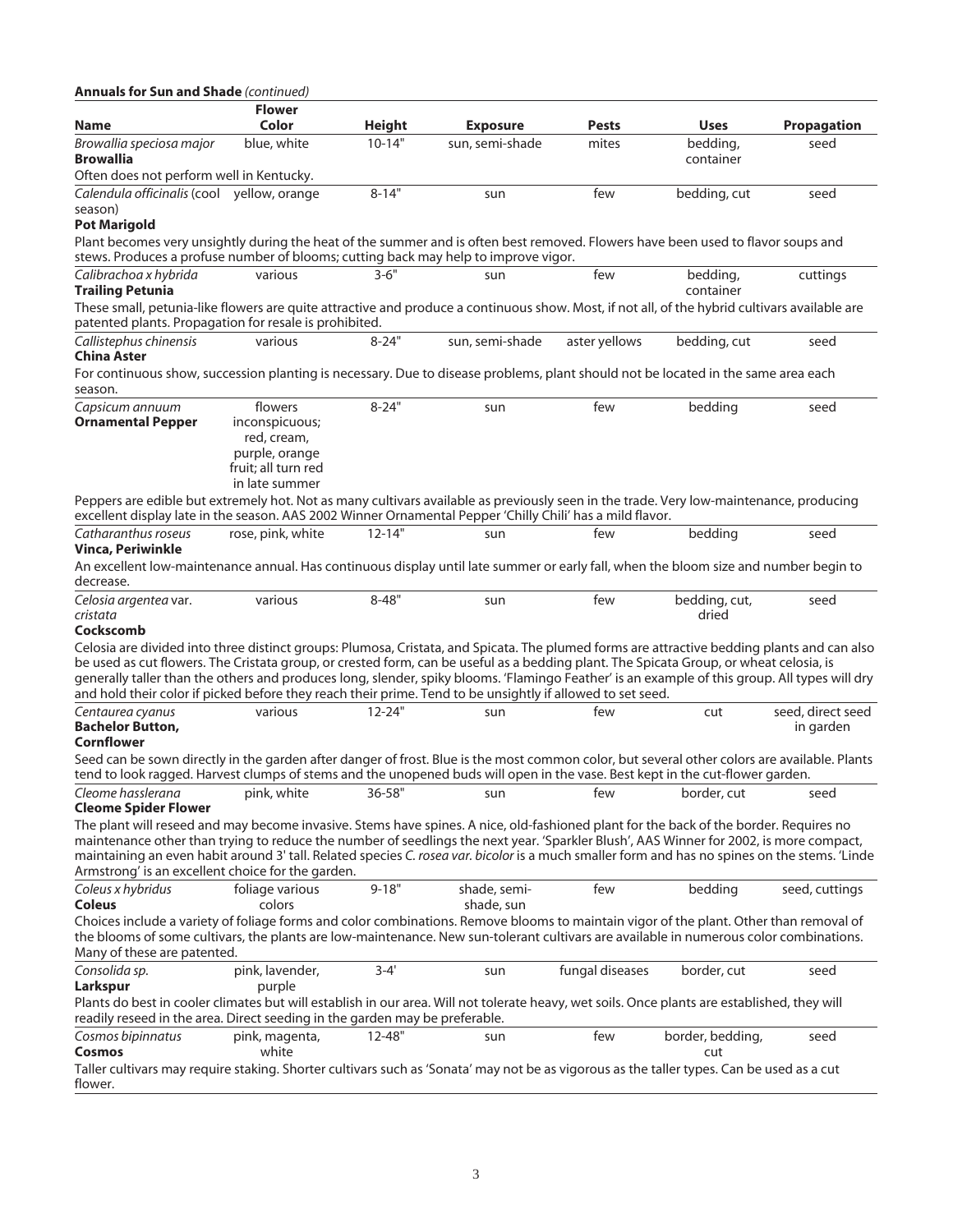| <b>Annuals for Sun and Shade</b> (continued)                                                                                                                                                                                                                                                                                                                                                                                                                                                                                                         |                                                                                                     |                           |                                    |                       |                         |                                |
|------------------------------------------------------------------------------------------------------------------------------------------------------------------------------------------------------------------------------------------------------------------------------------------------------------------------------------------------------------------------------------------------------------------------------------------------------------------------------------------------------------------------------------------------------|-----------------------------------------------------------------------------------------------------|---------------------------|------------------------------------|-----------------------|-------------------------|--------------------------------|
|                                                                                                                                                                                                                                                                                                                                                                                                                                                                                                                                                      | <b>Flower</b><br>Color                                                                              |                           |                                    |                       |                         |                                |
| Name<br>Browallia speciosa major                                                                                                                                                                                                                                                                                                                                                                                                                                                                                                                     | blue, white                                                                                         | <b>Height</b><br>$10-14"$ | <b>Exposure</b><br>sun, semi-shade | <b>Pests</b><br>mites | <b>Uses</b><br>bedding, | <b>Propagation</b><br>seed     |
| Browallia<br>Often does not perform well in Kentucky.                                                                                                                                                                                                                                                                                                                                                                                                                                                                                                |                                                                                                     |                           |                                    |                       | container               |                                |
| Calendula officinalis (cool yellow, orange                                                                                                                                                                                                                                                                                                                                                                                                                                                                                                           |                                                                                                     | $8 - 14"$                 | sun                                | few                   | bedding, cut            | seed                           |
| season)                                                                                                                                                                                                                                                                                                                                                                                                                                                                                                                                              |                                                                                                     |                           |                                    |                       |                         |                                |
| <b>Pot Marigold</b><br>Plant becomes very unsightly during the heat of the summer and is often best removed. Flowers have been used to flavor soups and                                                                                                                                                                                                                                                                                                                                                                                              |                                                                                                     |                           |                                    |                       |                         |                                |
| stews. Produces a profuse number of blooms; cutting back may help to improve vigor.                                                                                                                                                                                                                                                                                                                                                                                                                                                                  |                                                                                                     |                           |                                    |                       |                         |                                |
| Calibrachoa x hybrida<br><b>Trailing Petunia</b>                                                                                                                                                                                                                                                                                                                                                                                                                                                                                                     | various                                                                                             | $3 - 6"$                  | sun                                | few                   | bedding,<br>container   | cuttings                       |
| These small, petunia-like flowers are quite attractive and produce a continuous show. Most, if not all, of the hybrid cultivars available are<br>patented plants. Propagation for resale is prohibited.                                                                                                                                                                                                                                                                                                                                              |                                                                                                     |                           |                                    |                       |                         |                                |
| Callistephus chinensis<br>China Aster                                                                                                                                                                                                                                                                                                                                                                                                                                                                                                                | various                                                                                             | $8 - 24"$                 | sun, semi-shade                    | aster yellows         | bedding, cut            | seed                           |
| For continuous show, succession planting is necessary. Due to disease problems, plant should not be located in the same area each<br>season.                                                                                                                                                                                                                                                                                                                                                                                                         |                                                                                                     |                           |                                    |                       |                         |                                |
| Capsicum annuum<br><b>Ornamental Pepper</b>                                                                                                                                                                                                                                                                                                                                                                                                                                                                                                          | flowers<br>inconspicuous;<br>red, cream,<br>purple, orange<br>fruit; all turn red<br>in late summer | $8 - 24"$                 | sun                                | few                   | bedding                 | seed                           |
| Peppers are edible but extremely hot. Not as many cultivars available as previously seen in the trade. Very low-maintenance, producing<br>excellent display late in the season. AAS 2002 Winner Ornamental Pepper 'Chilly Chili' has a mild flavor.                                                                                                                                                                                                                                                                                                  |                                                                                                     |                           |                                    |                       |                         |                                |
| Catharanthus roseus<br>Vinca, Periwinkle                                                                                                                                                                                                                                                                                                                                                                                                                                                                                                             | rose, pink, white                                                                                   | $12 - 14"$                | sun                                | few                   | bedding                 | seed                           |
| An excellent low-maintenance annual. Has continuous display until late summer or early fall, when the bloom size and number begin to<br>decrease.                                                                                                                                                                                                                                                                                                                                                                                                    |                                                                                                     |                           |                                    |                       |                         |                                |
| Celosia argentea var.<br>cristata<br>Cockscomb                                                                                                                                                                                                                                                                                                                                                                                                                                                                                                       | various                                                                                             | $8 - 48"$                 | sun                                | few                   | bedding, cut,<br>dried  | seed                           |
| Celosia are divided into three distinct groups: Plumosa, Cristata, and Spicata. The plumed forms are attractive bedding plants and can also<br>be used as cut flowers. The Cristata group, or crested form, can be useful as a bedding plant. The Spicata Group, or wheat celosia, is<br>generally taller than the others and produces long, slender, spiky blooms. 'Flamingo Feather' is an example of this group. All types will dry<br>and hold their color if picked before they reach their prime. Tend to be unsightly if allowed to set seed. |                                                                                                     |                           |                                    |                       |                         |                                |
| Centaurea cyanus<br><b>Bachelor Button,</b><br>Cornflower                                                                                                                                                                                                                                                                                                                                                                                                                                                                                            | various                                                                                             | $12 - 24"$                | sun                                | few                   | cut                     | seed, direct seed<br>in garden |
| Seed can be sown directly in the garden after danger of frost. Blue is the most common color, but several other colors are available. Plants<br>tend to look ragged. Harvest clumps of stems and the unopened buds will open in the vase. Best kept in the cut-flower garden.                                                                                                                                                                                                                                                                        |                                                                                                     |                           |                                    |                       |                         |                                |
| Cleome hasslerana<br><b>Cleome Spider Flower</b>                                                                                                                                                                                                                                                                                                                                                                                                                                                                                                     | pink, white                                                                                         | $36 - 58"$                | sun                                | few                   | border, cut             | seed                           |
| The plant will reseed and may become invasive. Stems have spines. A nice, old-fashioned plant for the back of the border. Requires no<br>maintenance other than trying to reduce the number of seedlings the next year. 'Sparkler Blush', AAS Winner for 2002, is more compact,<br>maintaining an even habit around 3' tall. Related species C. rosea var. bicolor is a much smaller form and has no spines on the stems. 'Linde<br>Armstrong' is an excellent choice for the garden.                                                                |                                                                                                     |                           |                                    |                       |                         |                                |
| Coleus x hybridus<br>Coleus                                                                                                                                                                                                                                                                                                                                                                                                                                                                                                                          | foliage various<br>colors                                                                           | $9 - 18"$                 | shade, semi-<br>shade, sun         | few                   | bedding                 | seed, cuttings                 |
| Choices include a variety of foliage forms and color combinations. Remove blooms to maintain vigor of the plant. Other than removal of<br>the blooms of some cultivars, the plants are low-maintenance. New sun-tolerant cultivars are available in numerous color combinations.<br>Many of these are patented.                                                                                                                                                                                                                                      |                                                                                                     |                           |                                    |                       |                         |                                |
| Consolida sp.<br>Larkspur                                                                                                                                                                                                                                                                                                                                                                                                                                                                                                                            | pink, lavender,<br>purple                                                                           | $3 - 4'$                  | sun                                | fungal diseases       | border, cut             | seed                           |
| Plants do best in cooler climates but will establish in our area. Will not tolerate heavy, wet soils. Once plants are established, they will<br>readily reseed in the area. Direct seeding in the garden may be preferable.                                                                                                                                                                                                                                                                                                                          |                                                                                                     |                           |                                    |                       |                         |                                |
| Cosmos bipinnatus<br>Cosmos                                                                                                                                                                                                                                                                                                                                                                                                                                                                                                                          | pink, magenta,<br>white                                                                             | $12 - 48"$                | sun                                | few                   | border, bedding,<br>cut | seed                           |
| Taller cultivars may require staking. Shorter cultivars such as 'Sonata' may not be as vigorous as the taller types. Can be used as a cut<br>flower.                                                                                                                                                                                                                                                                                                                                                                                                 |                                                                                                     |                           |                                    |                       |                         |                                |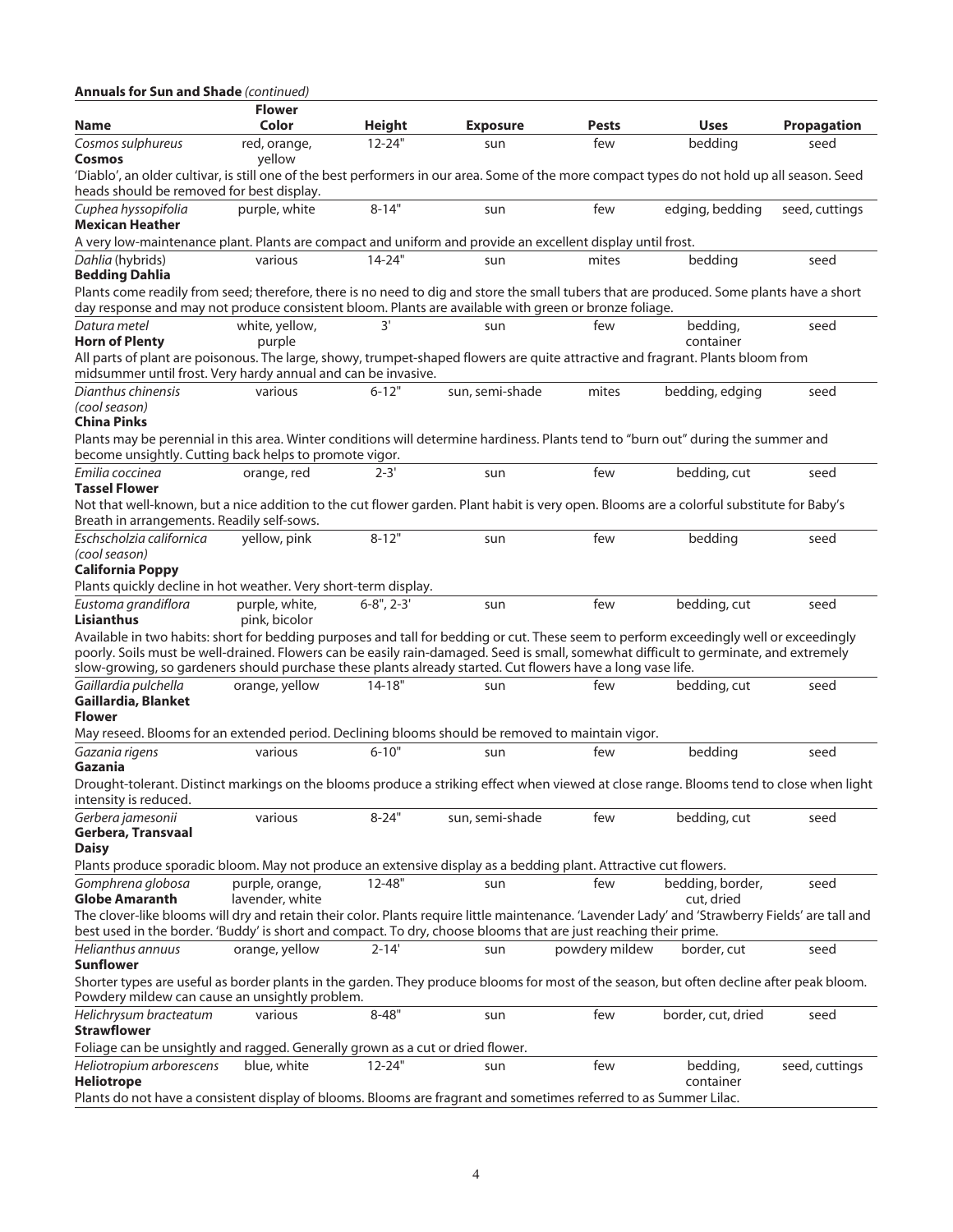| <b>Annuals for Sun and Shade</b> (continued)                                                                                                                                                                                                                                    |                                 |                      |                 |                |                       |                    |
|---------------------------------------------------------------------------------------------------------------------------------------------------------------------------------------------------------------------------------------------------------------------------------|---------------------------------|----------------------|-----------------|----------------|-----------------------|--------------------|
| Name                                                                                                                                                                                                                                                                            | <b>Flower</b><br>Color          | <b>Height</b>        | <b>Exposure</b> | Pests          | <b>Uses</b>           | <b>Propagation</b> |
| Cosmos sulphureus<br>Cosmos                                                                                                                                                                                                                                                     | red, orange,<br>yellow          | $12 - 24"$           | sun             | few            | bedding               | seed               |
| 'Diablo', an older cultivar, is still one of the best performers in our area. Some of the more compact types do not hold up all season. Seed<br>heads should be removed for best display.                                                                                       |                                 |                      |                 |                |                       |                    |
| Cuphea hyssopifolia<br><b>Mexican Heather</b>                                                                                                                                                                                                                                   | purple, white                   | $8 - 14"$            | sun             | few            | edging, bedding       | seed, cuttings     |
| A very low-maintenance plant. Plants are compact and uniform and provide an excellent display until frost.                                                                                                                                                                      |                                 |                      |                 |                |                       |                    |
| Dahlia (hybrids)<br><b>Bedding Dahlia</b>                                                                                                                                                                                                                                       | various                         | $14 - 24"$           | sun             | mites          | beddina               | seed               |
| Plants come readily from seed; therefore, there is no need to dig and store the small tubers that are produced. Some plants have a short<br>day response and may not produce consistent bloom. Plants are available with green or bronze foliage.                               |                                 |                      |                 |                |                       |                    |
| Datura metel<br><b>Horn of Plenty</b>                                                                                                                                                                                                                                           | white, yellow,<br>purple        | 3'                   | sun             | few            | bedding,<br>container | seed               |
| All parts of plant are poisonous. The large, showy, trumpet-shaped flowers are quite attractive and fragrant. Plants bloom from<br>midsummer until frost. Very hardy annual and can be invasive.                                                                                |                                 |                      |                 |                |                       |                    |
| Dianthus chinensis<br>(cool season)<br><b>China Pinks</b>                                                                                                                                                                                                                       | various                         | $6 - 12"$            | sun, semi-shade | mites          | bedding, edging       | seed               |
| Plants may be perennial in this area. Winter conditions will determine hardiness. Plants tend to "burn out" during the summer and<br>become unsightly. Cutting back helps to promote vigor.                                                                                     |                                 |                      |                 |                |                       |                    |
| Emilia coccinea<br><b>Tassel Flower</b>                                                                                                                                                                                                                                         | orange, red                     | $2 - 3'$             | sun             | few            | bedding, cut          | seed               |
| Not that well-known, but a nice addition to the cut flower garden. Plant habit is very open. Blooms are a colorful substitute for Baby's<br>Breath in arrangements. Readily self-sows.                                                                                          |                                 |                      |                 |                |                       |                    |
| Eschscholzia californica<br>(cool season)                                                                                                                                                                                                                                       | yellow, pink                    | $8 - 12"$            | sun             | few            | bedding               | seed               |
| <b>California Poppy</b><br>Plants quickly decline in hot weather. Very short-term display.                                                                                                                                                                                      |                                 |                      |                 |                |                       |                    |
| Eustoma grandiflora<br>Lisianthus                                                                                                                                                                                                                                               | purple, white,<br>pink, bicolor | $6 - 8$ ", $2 - 3$ ' | sun             | few            | bedding, cut          | seed               |
| Available in two habits: short for bedding purposes and tall for bedding or cut. These seem to perform exceedingly well or exceedingly<br>poorly. Soils must be well-drained. Flowers can be easily rain-damaged. Seed is small, somewhat difficult to germinate, and extremely |                                 |                      |                 |                |                       |                    |
| slow-growing, so gardeners should purchase these plants already started. Cut flowers have a long vase life.                                                                                                                                                                     |                                 |                      |                 |                |                       |                    |
| Gaillardia pulchella<br>Gaillardia, Blanket<br>Flower                                                                                                                                                                                                                           | orange, yellow                  | $14 - 18"$           | sun             | few            | bedding, cut          | seed               |
| May reseed. Blooms for an extended period. Declining blooms should be removed to maintain vigor.                                                                                                                                                                                |                                 |                      |                 |                |                       |                    |
| Gazania rigens<br>Gazania                                                                                                                                                                                                                                                       | various                         | $6 - 10"$            | sun             | few            | bedding               | seed               |
| Drought-tolerant. Distinct markings on the blooms produce a striking effect when viewed at close range. Blooms tend to close when light<br>intensity is reduced.                                                                                                                |                                 |                      |                 |                |                       |                    |
| Gerbera jamesonii<br>Gerbera, Transvaal                                                                                                                                                                                                                                         | various                         | $8 - 24"$            | sun, semi-shade | few            | bedding, cut          | seed               |
| <b>Daisy</b><br>Plants produce sporadic bloom. May not produce an extensive display as a bedding plant. Attractive cut flowers.                                                                                                                                                 |                                 |                      |                 |                |                       |                    |
| Gomphrena globosa                                                                                                                                                                                                                                                               | purple, orange,                 | $12 - 48"$           | sun             | few            | bedding, border,      | seed               |
| <b>Globe Amaranth</b><br>The clover-like blooms will dry and retain their color. Plants require little maintenance. 'Lavender Lady' and 'Strawberry Fields' are tall and                                                                                                        | lavender, white                 |                      |                 |                | cut, dried            |                    |
| best used in the border. 'Buddy' is short and compact. To dry, choose blooms that are just reaching their prime.                                                                                                                                                                |                                 |                      |                 |                |                       |                    |
| Helianthus annuus<br>Sunflower                                                                                                                                                                                                                                                  | orange, yellow                  | $2 - 14'$            | sun             | powdery mildew | border, cut           | seed               |
| Shorter types are useful as border plants in the garden. They produce blooms for most of the season, but often decline after peak bloom.<br>Powdery mildew can cause an unsightly problem.                                                                                      |                                 |                      |                 |                |                       |                    |
| Helichrysum bracteatum<br><b>Strawflower</b>                                                                                                                                                                                                                                    | various                         | $8 - 48"$            | sun             | few            | border, cut, dried    | seed               |
| Foliage can be unsightly and ragged. Generally grown as a cut or dried flower.                                                                                                                                                                                                  |                                 |                      |                 |                |                       |                    |
| Heliotropium arborescens<br><b>Heliotrope</b>                                                                                                                                                                                                                                   | blue, white                     | $12 - 24"$           | sun             | few            | bedding,<br>container | seed, cuttings     |
| Plants do not have a consistent display of blooms. Blooms are fragrant and sometimes referred to as Summer Lilac.                                                                                                                                                               |                                 |                      |                 |                |                       |                    |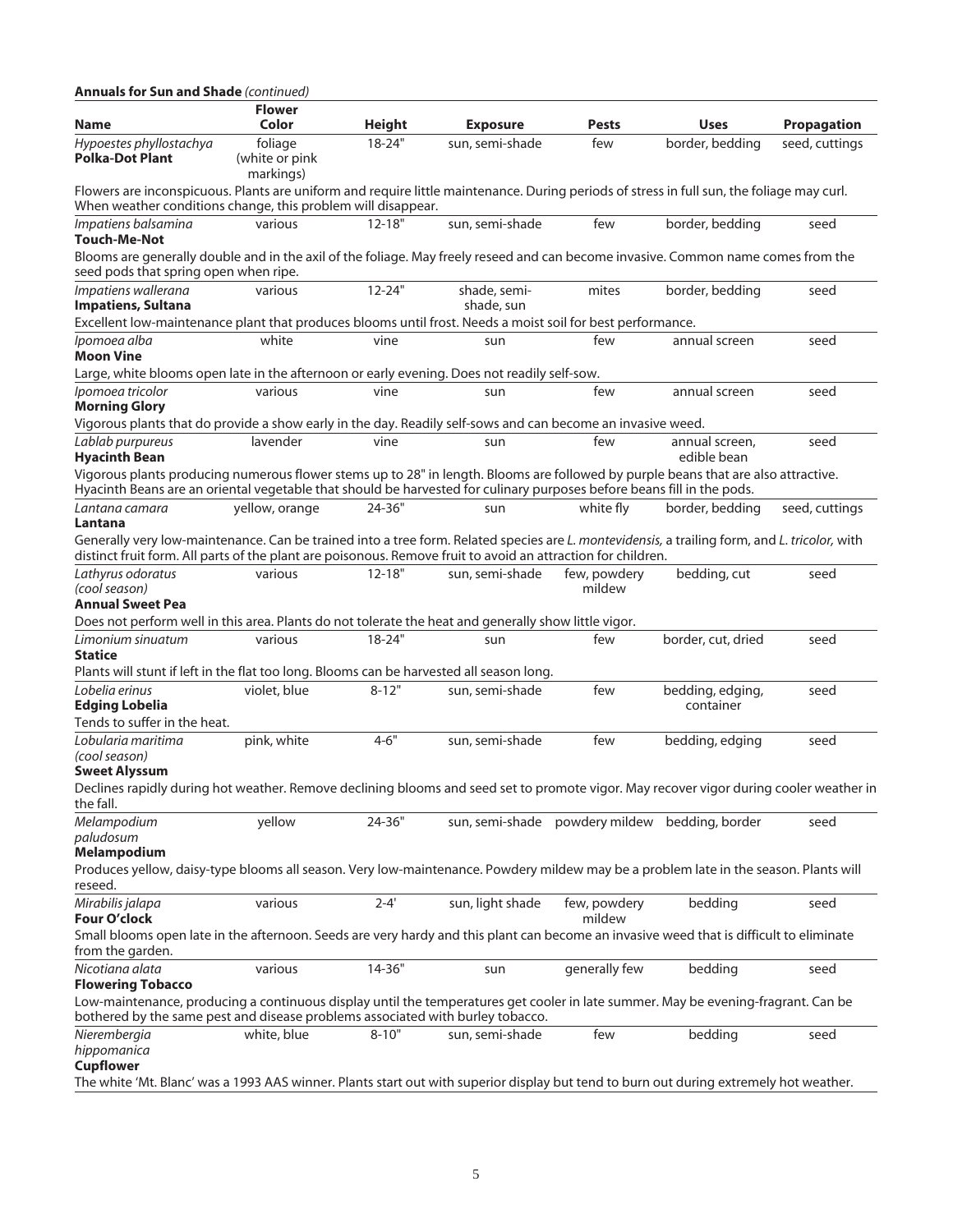| <b>Annuals for Sun and Shade (continued)</b>                                                                                                                                                                                                                  |                                        |               |                            |                        |                                                |                    |
|---------------------------------------------------------------------------------------------------------------------------------------------------------------------------------------------------------------------------------------------------------------|----------------------------------------|---------------|----------------------------|------------------------|------------------------------------------------|--------------------|
| <b>Name</b>                                                                                                                                                                                                                                                   | <b>Flower</b><br>Color                 | <b>Height</b> | <b>Exposure</b>            | <b>Pests</b>           | <b>Uses</b>                                    | <b>Propagation</b> |
| Hypoestes phyllostachya<br>Polka-Dot Plant                                                                                                                                                                                                                    | foliage<br>(white or pink<br>markings) | $18 - 24"$    | sun, semi-shade            | few                    | border, bedding                                | seed, cuttings     |
| Flowers are inconspicuous. Plants are uniform and require little maintenance. During periods of stress in full sun, the foliage may curl.<br>When weather conditions change, this problem will disappear.                                                     |                                        |               |                            |                        |                                                |                    |
| Impatiens balsamina<br><b>Touch-Me-Not</b>                                                                                                                                                                                                                    | various                                | $12 - 18"$    | sun, semi-shade            | few                    | border, bedding                                | seed               |
| Blooms are generally double and in the axil of the foliage. May freely reseed and can become invasive. Common name comes from the<br>seed pods that spring open when ripe.                                                                                    |                                        |               |                            |                        |                                                |                    |
| Impatiens wallerana<br>Impatiens, Sultana                                                                                                                                                                                                                     | various                                | $12 - 24"$    | shade, semi-<br>shade, sun | mites                  | border, bedding                                | seed               |
| Excellent low-maintenance plant that produces blooms until frost. Needs a moist soil for best performance.                                                                                                                                                    |                                        |               |                            |                        |                                                |                    |
| Ipomoea alba<br><b>Moon Vine</b>                                                                                                                                                                                                                              | white                                  | vine          | sun                        | few                    | annual screen                                  | seed               |
| Large, white blooms open late in the afternoon or early evening. Does not readily self-sow.                                                                                                                                                                   |                                        |               |                            |                        |                                                |                    |
| Ipomoea tricolor<br><b>Morning Glory</b>                                                                                                                                                                                                                      | various                                | vine          | sun                        | few                    | annual screen                                  | seed               |
| Vigorous plants that do provide a show early in the day. Readily self-sows and can become an invasive weed.                                                                                                                                                   |                                        |               |                            |                        |                                                |                    |
| Lablab purpureus<br><b>Hyacinth Bean</b>                                                                                                                                                                                                                      | lavender                               | vine          | sun                        | few                    | annual screen,<br>edible bean                  | seed               |
| Vigorous plants producing numerous flower stems up to 28" in length. Blooms are followed by purple beans that are also attractive.<br>Hyacinth Beans are an oriental vegetable that should be harvested for culinary purposes before beans fill in the pods.  |                                        |               |                            |                        |                                                |                    |
| Lantana camara<br>Lantana                                                                                                                                                                                                                                     | yellow, orange                         | 24-36"        | sun                        | white fly              | border, bedding                                | seed, cuttings     |
| Generally very low-maintenance. Can be trained into a tree form. Related species are L. montevidensis, a trailing form, and L. tricolor, with<br>distinct fruit form. All parts of the plant are poisonous. Remove fruit to avoid an attraction for children. |                                        |               |                            |                        |                                                |                    |
| Lathyrus odoratus<br>(cool season)<br><b>Annual Sweet Pea</b>                                                                                                                                                                                                 | various                                | $12 - 18"$    | sun, semi-shade            | few, powdery<br>mildew | bedding, cut                                   | seed               |
| Does not perform well in this area. Plants do not tolerate the heat and generally show little vigor.                                                                                                                                                          |                                        |               |                            |                        |                                                |                    |
|                                                                                                                                                                                                                                                               |                                        |               |                            |                        |                                                |                    |
| Limonium sinuatum<br><b>Statice</b>                                                                                                                                                                                                                           | various                                | $18 - 24"$    | sun                        | few                    | border, cut, dried                             | seed               |
| Plants will stunt if left in the flat too long. Blooms can be harvested all season long.                                                                                                                                                                      |                                        |               |                            |                        |                                                |                    |
| Lobelia erinus<br><b>Edging Lobelia</b><br>Tends to suffer in the heat.                                                                                                                                                                                       | violet, blue                           | $8 - 12"$     | sun, semi-shade            | few                    | bedding, edging,<br>container                  | seed               |
| Lobularia maritima<br>(cool season)                                                                                                                                                                                                                           | pink, white                            | $4 - 6"$      | sun, semi-shade            | few                    | bedding, edging                                | seed               |
| <b>Sweet Alyssum</b><br>Declines rapidly during hot weather. Remove declining blooms and seed set to promote vigor. May recover vigor during cooler weather in                                                                                                |                                        |               |                            |                        |                                                |                    |
| the fall.                                                                                                                                                                                                                                                     |                                        |               |                            |                        |                                                |                    |
| Melampodium<br>paludosum                                                                                                                                                                                                                                      | yellow                                 | 24-36"        |                            |                        | sun, semi-shade powdery mildew bedding, border | seed               |
| <b>Melampodium</b><br>Produces yellow, daisy-type blooms all season. Very low-maintenance. Powdery mildew may be a problem late in the season. Plants will<br>reseed.                                                                                         |                                        |               |                            |                        |                                                |                    |
| Mirabilis jalapa<br>Four O'clock                                                                                                                                                                                                                              | various                                | $2 - 4'$      | sun, light shade           | few, powdery<br>mildew | bedding                                        | seed               |
| Small blooms open late in the afternoon. Seeds are very hardy and this plant can become an invasive weed that is difficult to eliminate<br>from the garden.                                                                                                   |                                        |               |                            |                        |                                                |                    |
| Nicotiana alata<br><b>Flowering Tobacco</b>                                                                                                                                                                                                                   | various                                | 14-36"        | sun                        | generally few          | bedding                                        | seed               |
| Low-maintenance, producing a continuous display until the temperatures get cooler in late summer. May be evening-fragrant. Can be<br>bothered by the same pest and disease problems associated with burley tobacco.                                           |                                        |               |                            |                        |                                                |                    |
| Nierembergia<br>hippomanica                                                                                                                                                                                                                                   | white, blue                            | $8 - 10"$     | sun, semi-shade            | few                    | bedding                                        | seed               |
| <b>Cupflower</b><br>The white 'Mt. Blanc' was a 1993 AAS winner. Plants start out with superior display but tend to burn out during extremely hot weather.                                                                                                    |                                        |               |                            |                        |                                                |                    |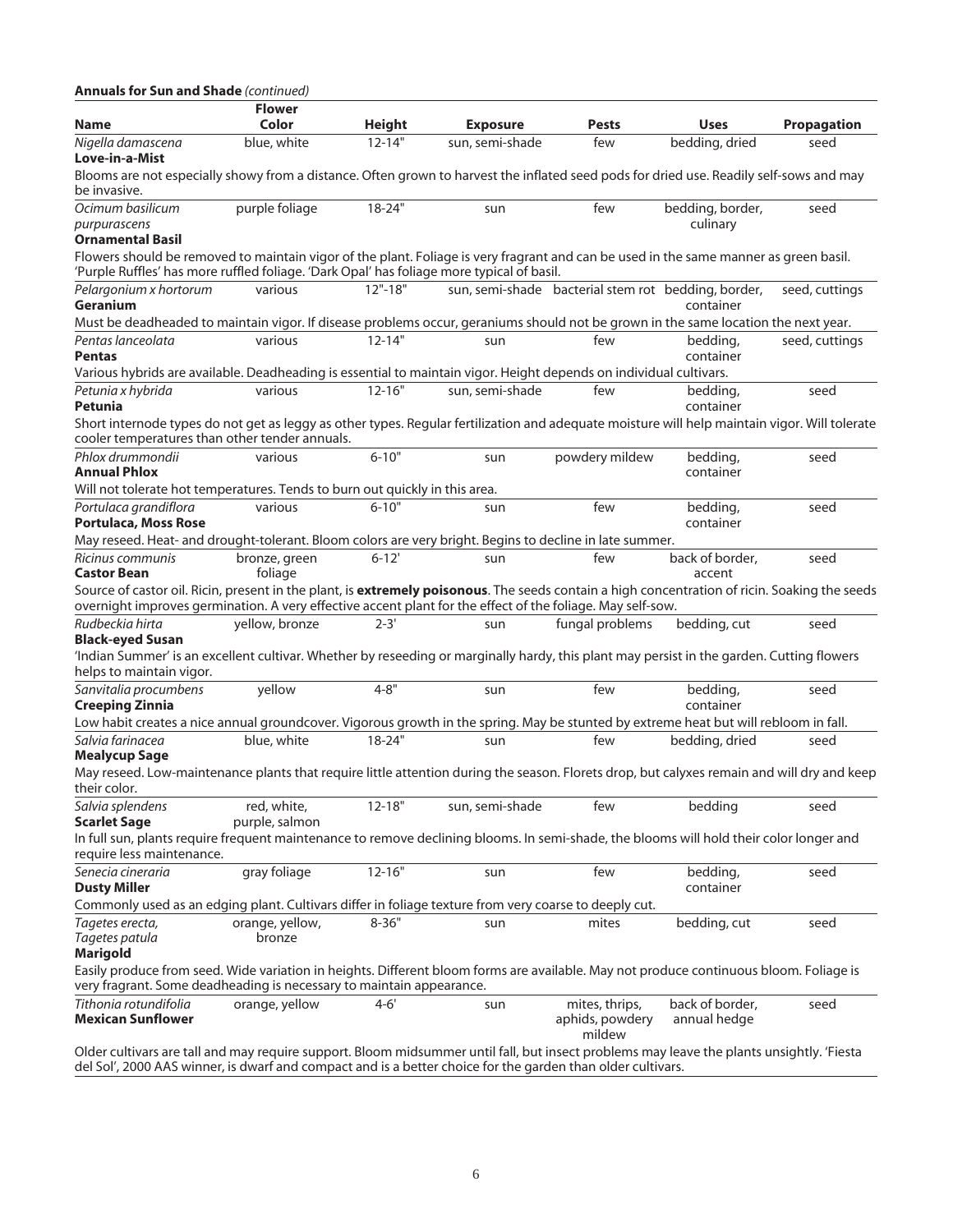| <b>Annuals for Sun and Shade (continued)</b>                                                                                                                                                                                                                | <b>Flower</b>                 |               |                 |                                                     |                                 |                    |
|-------------------------------------------------------------------------------------------------------------------------------------------------------------------------------------------------------------------------------------------------------------|-------------------------------|---------------|-----------------|-----------------------------------------------------|---------------------------------|--------------------|
| Name                                                                                                                                                                                                                                                        | Color                         | <b>Height</b> | <b>Exposure</b> | <b>Pests</b>                                        | <b>Uses</b>                     | <b>Propagation</b> |
| Nigella damascena<br>Love-in-a-Mist                                                                                                                                                                                                                         | blue, white                   | $12 - 14"$    | sun, semi-shade | few                                                 | bedding, dried                  | seed               |
| Blooms are not especially showy from a distance. Often grown to harvest the inflated seed pods for dried use. Readily self-sows and may<br>be invasive.                                                                                                     |                               |               |                 |                                                     |                                 |                    |
| Ocimum basilicum<br>purpurascens<br><b>Ornamental Basil</b>                                                                                                                                                                                                 | purple foliage                | $18 - 24"$    | sun             | few                                                 | bedding, border,<br>culinary    | seed               |
| Flowers should be removed to maintain vigor of the plant. Foliage is very fragrant and can be used in the same manner as green basil.<br>'Purple Ruffles' has more ruffled foliage. 'Dark Opal' has foliage more typical of basil.                          |                               |               |                 |                                                     |                                 |                    |
| Pelargonium x hortorum<br>Geranium                                                                                                                                                                                                                          | various                       | $12" - 18"$   |                 | sun, semi-shade bacterial stem rot bedding, border, | container                       | seed, cuttings     |
| Must be deadheaded to maintain vigor. If disease problems occur, geraniums should not be grown in the same location the next year.                                                                                                                          |                               |               |                 |                                                     |                                 |                    |
| Pentas lanceolata<br><b>Pentas</b>                                                                                                                                                                                                                          | various                       | $12 - 14"$    | sun             | few                                                 | bedding,<br>container           | seed, cuttings     |
| Various hybrids are available. Deadheading is essential to maintain vigor. Height depends on individual cultivars.                                                                                                                                          |                               |               |                 |                                                     |                                 |                    |
| Petunia x hybrida<br>Petunia                                                                                                                                                                                                                                | various                       | $12 - 16"$    | sun, semi-shade | few                                                 | bedding,<br>container           | seed               |
| Short internode types do not get as leggy as other types. Regular fertilization and adequate moisture will help maintain vigor. Will tolerate<br>cooler temperatures than other tender annuals.                                                             |                               |               |                 |                                                     |                                 |                    |
| Phlox drummondii<br><b>Annual Phlox</b><br>Will not tolerate hot temperatures. Tends to burn out quickly in this area.                                                                                                                                      | various                       | $6 - 10"$     | sun             | powdery mildew                                      | bedding,<br>container           | seed               |
| Portulaca grandiflora<br><b>Portulaca, Moss Rose</b>                                                                                                                                                                                                        | various                       | $6 - 10"$     | sun             | few                                                 | bedding,<br>container           | seed               |
| May reseed. Heat- and drought-tolerant. Bloom colors are very bright. Begins to decline in late summer.                                                                                                                                                     |                               |               |                 |                                                     |                                 |                    |
| Ricinus communis<br><b>Castor Bean</b>                                                                                                                                                                                                                      | bronze, green<br>foliage      | $6 - 12'$     | sun             | few                                                 | back of border,<br>accent       | seed               |
| Source of castor oil. Ricin, present in the plant, is extremely poisonous. The seeds contain a high concentration of ricin. Soaking the seeds<br>overnight improves germination. A very effective accent plant for the effect of the foliage. May self-sow. |                               |               |                 |                                                     |                                 |                    |
| Rudbeckia hirta<br><b>Black-eyed Susan</b>                                                                                                                                                                                                                  | yellow, bronze                | $2 - 3'$      | sun             | fungal problems                                     | bedding, cut                    | seed               |
| 'Indian Summer' is an excellent cultivar. Whether by reseeding or marginally hardy, this plant may persist in the garden. Cutting flowers<br>helps to maintain vigor.                                                                                       |                               |               |                 |                                                     |                                 |                    |
| Sanvitalia procumbens<br><b>Creeping Zinnia</b>                                                                                                                                                                                                             | yellow                        | $4 - 8"$      | sun             | few                                                 | bedding,<br>container           | seed               |
| Low habit creates a nice annual groundcover. Vigorous growth in the spring. May be stunted by extreme heat but will rebloom in fall.                                                                                                                        |                               |               |                 |                                                     |                                 |                    |
| Salvia farinacea<br><b>Mealycup Sage</b>                                                                                                                                                                                                                    | blue, white                   | $18 - 24"$    | sun             | few                                                 | bedding, dried                  | seed               |
| May reseed. Low-maintenance plants that require little attention during the season. Florets drop, but calyxes remain and will dry and keep<br>their color.                                                                                                  |                               |               |                 |                                                     |                                 |                    |
| Salvia splendens<br><b>Scarlet Sage</b>                                                                                                                                                                                                                     | red, white,<br>purple, salmon | $12 - 18"$    | sun, semi-shade | few                                                 | bedding                         | seed               |
| In full sun, plants require frequent maintenance to remove declining blooms. In semi-shade, the blooms will hold their color longer and<br>require less maintenance.                                                                                        |                               |               |                 |                                                     |                                 |                    |
| Senecia cineraria<br><b>Dusty Miller</b>                                                                                                                                                                                                                    | gray foliage                  | $12 - 16"$    | sun             | few                                                 | bedding,<br>container           | seed               |
| Commonly used as an edging plant. Cultivars differ in foliage texture from very coarse to deeply cut.                                                                                                                                                       |                               |               |                 |                                                     |                                 |                    |
| Tagetes erecta,<br>Tagetes patula<br><b>Marigold</b>                                                                                                                                                                                                        | orange, yellow,<br>bronze     | $8 - 36"$     | sun             | mites                                               | bedding, cut                    | seed               |
| Easily produce from seed. Wide variation in heights. Different bloom forms are available. May not produce continuous bloom. Foliage is<br>very fragrant. Some deadheading is necessary to maintain appearance.                                              |                               |               |                 |                                                     |                                 |                    |
| Tithonia rotundifolia<br><b>Mexican Sunflower</b>                                                                                                                                                                                                           | orange, yellow                | $4 - 6'$      | sun             | mites, thrips,<br>aphids, powdery<br>mildew         | back of border,<br>annual hedge | seed               |

6

del Sol', 2000 AAS winner, is dwarf and compact and is a better choice for the garden than older cultivars.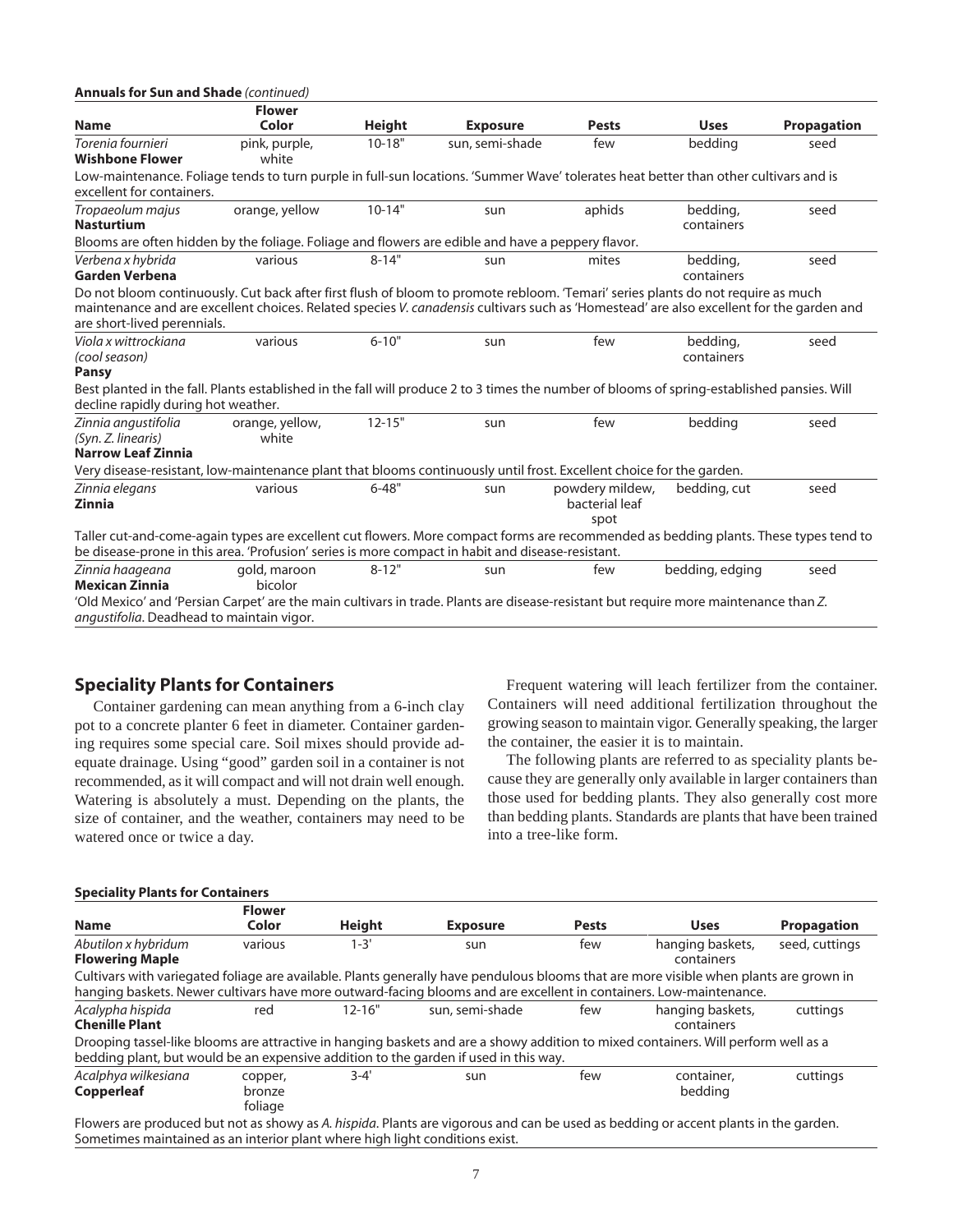| <b>Annuals for Sun and Shade (continued)</b>                                                                                                                                                                                                                                                                |                          |               |                 |                                           |                        |                    |
|-------------------------------------------------------------------------------------------------------------------------------------------------------------------------------------------------------------------------------------------------------------------------------------------------------------|--------------------------|---------------|-----------------|-------------------------------------------|------------------------|--------------------|
|                                                                                                                                                                                                                                                                                                             | <b>Flower</b>            |               |                 |                                           |                        |                    |
| <b>Name</b>                                                                                                                                                                                                                                                                                                 | Color                    | <b>Height</b> | <b>Exposure</b> | <b>Pests</b>                              | <b>Uses</b>            | <b>Propagation</b> |
| Torenia fournieri<br><b>Wishbone Flower</b>                                                                                                                                                                                                                                                                 | pink, purple,<br>white   | $10 - 18"$    | sun, semi-shade | few                                       | bedding                | seed               |
| Low-maintenance. Foliage tends to turn purple in full-sun locations. 'Summer Wave' tolerates heat better than other cultivars and is<br>excellent for containers.                                                                                                                                           |                          |               |                 |                                           |                        |                    |
| Tropaeolum majus<br><b>Nasturtium</b>                                                                                                                                                                                                                                                                       | orange, yellow           | $10-14"$      | sun             | aphids                                    | bedding,<br>containers | seed               |
| Blooms are often hidden by the foliage. Foliage and flowers are edible and have a peppery flavor.                                                                                                                                                                                                           |                          |               |                 |                                           |                        |                    |
| Verbena x hybrida<br><b>Garden Verbena</b>                                                                                                                                                                                                                                                                  | various                  | $8 - 14"$     | sun             | mites                                     | bedding,<br>containers | seed               |
| Do not bloom continuously. Cut back after first flush of bloom to promote rebloom. 'Temari' series plants do not require as much<br>maintenance and are excellent choices. Related species V. canadensis cultivars such as 'Homestead' are also excellent for the garden and<br>are short-lived perennials. |                          |               |                 |                                           |                        |                    |
| Viola x wittrockiana<br>(cool season)<br><b>Pansy</b>                                                                                                                                                                                                                                                       | various                  | $6 - 10"$     | sun             | few                                       | bedding,<br>containers | seed               |
| Best planted in the fall. Plants established in the fall will produce 2 to 3 times the number of blooms of spring-established pansies. Will<br>decline rapidly during hot weather.                                                                                                                          |                          |               |                 |                                           |                        |                    |
| Zinnia angustifolia<br>(Syn. Z. linearis)<br><b>Narrow Leaf Zinnia</b>                                                                                                                                                                                                                                      | orange, yellow,<br>white | $12 - 15"$    | sun             | few                                       | bedding                | seed               |
| Very disease-resistant, low-maintenance plant that blooms continuously until frost. Excellent choice for the garden.                                                                                                                                                                                        |                          |               |                 |                                           |                        |                    |
| Zinnia elegans<br><b>Zinnia</b>                                                                                                                                                                                                                                                                             | various                  | $6 - 48"$     | sun             | powdery mildew,<br>bacterial leaf<br>spot | bedding, cut           | seed               |
| Taller cut-and-come-again types are excellent cut flowers. More compact forms are recommended as bedding plants. These types tend to<br>be disease-prone in this area. 'Profusion' series is more compact in habit and disease-resistant.                                                                   |                          |               |                 |                                           |                        |                    |
| Zinnia haageana<br><b>Mexican Zinnia</b>                                                                                                                                                                                                                                                                    | gold, maroon<br>bicolor  | $8 - 12"$     | sun             | few                                       | bedding, edging        | seed               |
| 'Old Mexico' and 'Persian Carpet' are the main cultivars in trade. Plants are disease-resistant but require more maintenance than Z.<br>angustifolia. Deadhead to maintain vigor.                                                                                                                           |                          |               |                 |                                           |                        |                    |

## **Speciality Plants for Containers**

Container gardening can mean anything from a 6-inch clay pot to a concrete planter 6 feet in diameter. Container gardening requires some special care. Soil mixes should provide adequate drainage. Using "good" garden soil in a container is not recommended, as it will compact and will not drain well enough. Watering is absolutely a must. Depending on the plants, the size of container, and the weather, containers may need to be watered once or twice a day.

Frequent watering will leach fertilizer from the container. Containers will need additional fertilization throughout the growing season to maintain vigor. Generally speaking, the larger the container, the easier it is to maintain.

The following plants are referred to as speciality plants because they are generally only available in larger containers than those used for bedding plants. They also generally cost more than bedding plants. Standards are plants that have been trained into a tree-like form.

#### **Speciality Plants for Containers**

|                                                                                                                                                                                                                                                              | <b>Flower</b>                |            |                                                                                                                                                                                                                            |              |                                |                    |
|--------------------------------------------------------------------------------------------------------------------------------------------------------------------------------------------------------------------------------------------------------------|------------------------------|------------|----------------------------------------------------------------------------------------------------------------------------------------------------------------------------------------------------------------------------|--------------|--------------------------------|--------------------|
| <b>Name</b>                                                                                                                                                                                                                                                  | Color                        | Height     | <b>Exposure</b>                                                                                                                                                                                                            | <b>Pests</b> | <b>Uses</b>                    | <b>Propagation</b> |
| Abutilon x hybridum                                                                                                                                                                                                                                          | various                      | $1 - 3'$   | sun                                                                                                                                                                                                                        | few          | hanging baskets,               | seed, cuttings     |
| <b>Flowering Maple</b>                                                                                                                                                                                                                                       |                              |            |                                                                                                                                                                                                                            |              | containers                     |                    |
| Cultivars with variegated foliage are available. Plants generally have pendulous blooms that are more visible when plants are grown in<br>hanging baskets. Newer cultivars have more outward-facing blooms and are excellent in containers. Low-maintenance. |                              |            |                                                                                                                                                                                                                            |              |                                |                    |
| Acalypha hispida<br><b>Chenille Plant</b>                                                                                                                                                                                                                    | red                          | $12 - 16"$ | sun, semi-shade                                                                                                                                                                                                            | few          | hanging baskets,<br>containers | cuttings           |
|                                                                                                                                                                                                                                                              |                              |            | Drooping tassel-like blooms are attractive in hanging baskets and are a showy addition to mixed containers. Will perform well as a<br>bedding plant, but would be an expensive addition to the garden if used in this way. |              |                                |                    |
| Acalphya wilkesiana<br>Copperleaf                                                                                                                                                                                                                            | copper,<br>bronze<br>foliage | $3 - 4'$   | sun                                                                                                                                                                                                                        | few          | container.<br>bedding          | cuttings           |
|                                                                                                                                                                                                                                                              |                              |            | Flamma and the distribution of a series of the Marked Contractor and and the hand of bodding and accepted in the modern                                                                                                    |              |                                |                    |

Flowers are produced but not as showy as *A. hispida*. Plants are vigorous and can be used as bedding or accent plants in the garden. Sometimes maintained as an interior plant where high light conditions exist.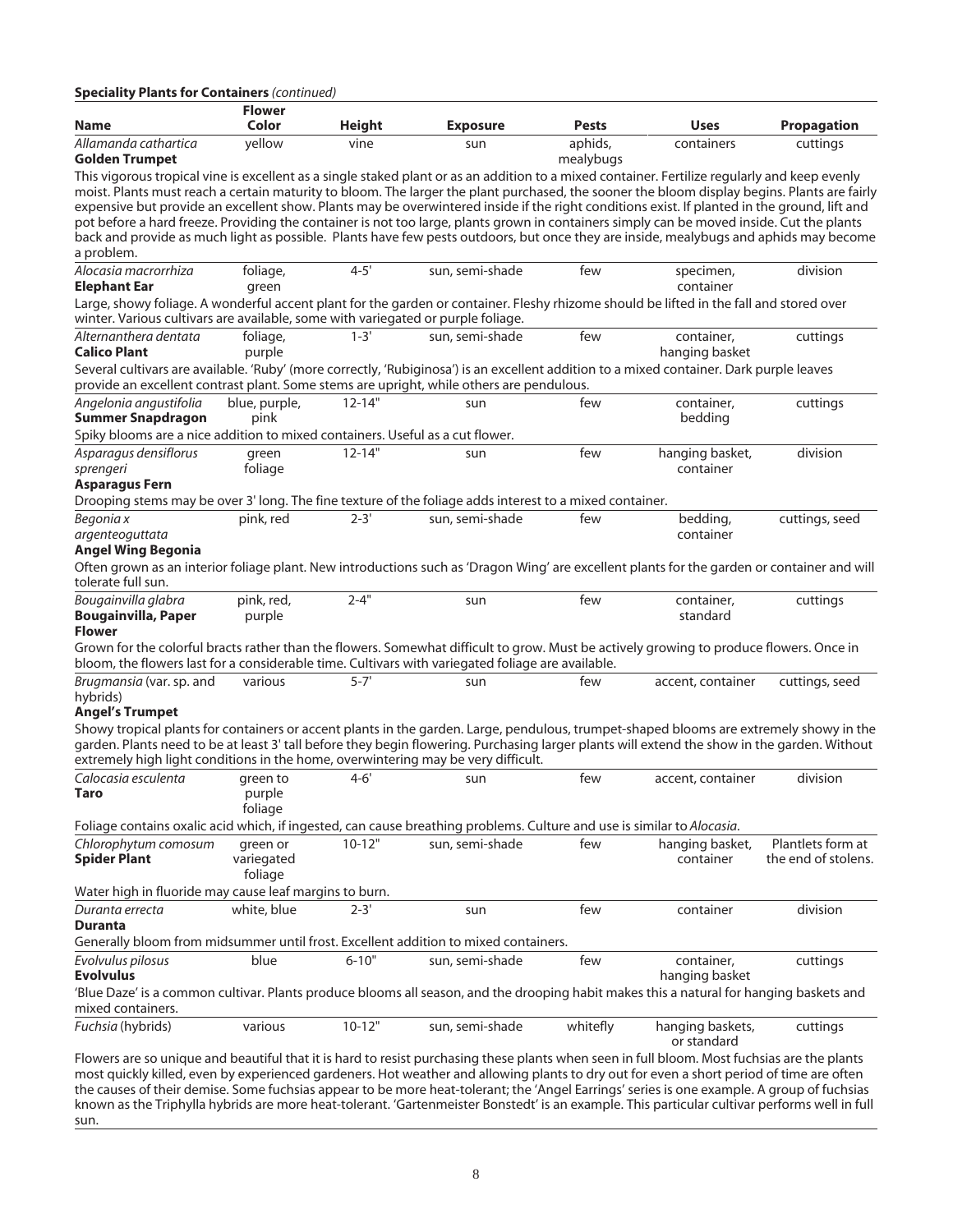| <b>Speciality Plants for Containers (continued)</b>                                                                                                                                                                                                                                          | <b>Flower</b>     |               |                 |              |                                 |                     |
|----------------------------------------------------------------------------------------------------------------------------------------------------------------------------------------------------------------------------------------------------------------------------------------------|-------------------|---------------|-----------------|--------------|---------------------------------|---------------------|
| Name                                                                                                                                                                                                                                                                                         | Color             | <b>Height</b> | <b>Exposure</b> | <b>Pests</b> | <b>Uses</b>                     | <b>Propagation</b>  |
| Allamanda cathartica                                                                                                                                                                                                                                                                         | yellow            | vine          | sun             | aphids,      | containers                      | cuttings            |
| Golden Trumpet                                                                                                                                                                                                                                                                               |                   |               |                 | mealybugs    |                                 |                     |
| This vigorous tropical vine is excellent as a single staked plant or as an addition to a mixed container. Fertilize regularly and keep evenly                                                                                                                                                |                   |               |                 |              |                                 |                     |
| moist. Plants must reach a certain maturity to bloom. The larger the plant purchased, the sooner the bloom display begins. Plants are fairly<br>expensive but provide an excellent show. Plants may be overwintered inside if the right conditions exist. If planted in the ground, lift and |                   |               |                 |              |                                 |                     |
| pot before a hard freeze. Providing the container is not too large, plants grown in containers simply can be moved inside. Cut the plants                                                                                                                                                    |                   |               |                 |              |                                 |                     |
| back and provide as much light as possible. Plants have few pests outdoors, but once they are inside, mealybugs and aphids may become                                                                                                                                                        |                   |               |                 |              |                                 |                     |
| a problem.                                                                                                                                                                                                                                                                                   |                   |               |                 |              |                                 |                     |
| Alocasia macrorrhiza<br><b>Elephant Ear</b>                                                                                                                                                                                                                                                  | foliage,<br>green | $4 - 5'$      | sun, semi-shade | few          | specimen,<br>container          | division            |
| Large, showy foliage. A wonderful accent plant for the garden or container. Fleshy rhizome should be lifted in the fall and stored over                                                                                                                                                      |                   |               |                 |              |                                 |                     |
| winter. Various cultivars are available, some with variegated or purple foliage.                                                                                                                                                                                                             |                   |               |                 |              |                                 |                     |
| Alternanthera dentata                                                                                                                                                                                                                                                                        | foliage,          | $1 - 3'$      | sun, semi-shade | few          | container,                      | cuttings            |
| <b>Calico Plant</b>                                                                                                                                                                                                                                                                          | purple            |               |                 |              | hanging basket                  |                     |
| Several cultivars are available. 'Ruby' (more correctly, 'Rubiginosa') is an excellent addition to a mixed container. Dark purple leaves                                                                                                                                                     |                   |               |                 |              |                                 |                     |
| provide an excellent contrast plant. Some stems are upright, while others are pendulous.                                                                                                                                                                                                     |                   |               |                 |              |                                 |                     |
| Angelonia angustifolia                                                                                                                                                                                                                                                                       | blue, purple,     | $12 - 14"$    | sun             | few          | container,                      | cuttings            |
| <b>Summer Snapdragon</b>                                                                                                                                                                                                                                                                     | pink              |               |                 |              | bedding                         |                     |
| Spiky blooms are a nice addition to mixed containers. Useful as a cut flower.                                                                                                                                                                                                                |                   |               |                 |              |                                 |                     |
| Asparagus densiflorus                                                                                                                                                                                                                                                                        | green             | $12 - 14"$    | sun             | few          | hanging basket,                 | division            |
| sprengeri                                                                                                                                                                                                                                                                                    | foliage           |               |                 |              | container                       |                     |
| Asparagus Fern                                                                                                                                                                                                                                                                               |                   |               |                 |              |                                 |                     |
| Drooping stems may be over 3' long. The fine texture of the foliage adds interest to a mixed container.                                                                                                                                                                                      |                   |               |                 |              |                                 |                     |
| Begonia x                                                                                                                                                                                                                                                                                    | pink, red         | $2 - 3'$      | sun, semi-shade | few          | bedding,                        | cuttings, seed      |
| argenteoguttata                                                                                                                                                                                                                                                                              |                   |               |                 |              | container                       |                     |
| Angel Wing Begonia                                                                                                                                                                                                                                                                           |                   |               |                 |              |                                 |                     |
| Often grown as an interior foliage plant. New introductions such as 'Dragon Wing' are excellent plants for the garden or container and will<br>tolerate full sun.                                                                                                                            |                   |               |                 |              |                                 |                     |
| Bougainvilla glabra                                                                                                                                                                                                                                                                          | pink, red,        | $2 - 4"$      | sun             | few          | container,                      | cuttings            |
| Bougainvilla, Paper                                                                                                                                                                                                                                                                          | purple            |               |                 |              | standard                        |                     |
| Flower                                                                                                                                                                                                                                                                                       |                   |               |                 |              |                                 |                     |
| Grown for the colorful bracts rather than the flowers. Somewhat difficult to grow. Must be actively growing to produce flowers. Once in<br>bloom, the flowers last for a considerable time. Cultivars with variegated foliage are available.                                                 |                   |               |                 |              |                                 |                     |
| Brugmansia (var. sp. and                                                                                                                                                                                                                                                                     | various           | $5 - 7'$      | sun             | few          | accent, container               | cuttings, seed      |
| hybrids)                                                                                                                                                                                                                                                                                     |                   |               |                 |              |                                 |                     |
| <b>Angel's Trumpet</b>                                                                                                                                                                                                                                                                       |                   |               |                 |              |                                 |                     |
| Showy tropical plants for containers or accent plants in the garden. Large, pendulous, trumpet-shaped blooms are extremely showy in the                                                                                                                                                      |                   |               |                 |              |                                 |                     |
| garden. Plants need to be at least 3' tall before they begin flowering. Purchasing larger plants will extend the show in the garden. Without                                                                                                                                                 |                   |               |                 |              |                                 |                     |
| extremely high light conditions in the home, overwintering may be very difficult.                                                                                                                                                                                                            |                   |               |                 |              |                                 |                     |
| Calocasia esculenta                                                                                                                                                                                                                                                                          | green to          | $4 - 6'$      | sun             | few          | accent, container               | division            |
| Taro                                                                                                                                                                                                                                                                                         | purple            |               |                 |              |                                 |                     |
|                                                                                                                                                                                                                                                                                              | foliage           |               |                 |              |                                 |                     |
| Foliage contains oxalic acid which, if ingested, can cause breathing problems. Culture and use is similar to Alocasia.                                                                                                                                                                       |                   |               |                 |              |                                 |                     |
| Chlorophytum comosum                                                                                                                                                                                                                                                                         | green or          | $10 - 12"$    | sun, semi-shade | few          | hanging basket,                 | Plantlets form at   |
| <b>Spider Plant</b>                                                                                                                                                                                                                                                                          | variegated        |               |                 |              | container                       | the end of stolens. |
|                                                                                                                                                                                                                                                                                              | foliage           |               |                 |              |                                 |                     |
| Water high in fluoride may cause leaf margins to burn.                                                                                                                                                                                                                                       |                   |               |                 |              |                                 |                     |
| Duranta errecta<br>Duranta                                                                                                                                                                                                                                                                   | white, blue       | $2 - 3'$      | sun             | few          | container                       | division            |
| Generally bloom from midsummer until frost. Excellent addition to mixed containers.                                                                                                                                                                                                          |                   |               |                 |              |                                 |                     |
|                                                                                                                                                                                                                                                                                              |                   |               |                 |              |                                 |                     |
| Evolvulus pilosus<br><b>Evolvulus</b>                                                                                                                                                                                                                                                        | blue              | $6 - 10"$     | sun, semi-shade | few          | container,                      | cuttings            |
|                                                                                                                                                                                                                                                                                              |                   |               |                 |              | hanging basket                  |                     |
| 'Blue Daze' is a common cultivar. Plants produce blooms all season, and the drooping habit makes this a natural for hanging baskets and<br>mixed containers.                                                                                                                                 |                   |               |                 |              |                                 |                     |
| Fuchsia (hybrids)                                                                                                                                                                                                                                                                            | various           | $10 - 12"$    | sun, semi-shade | whitefly     | hanging baskets,<br>or standard | cuttings            |

Flowers are so unique and beautiful that it is hard to resist purchasing these plants when seen in full bloom. Most fuchsias are the plants most quickly killed, even by experienced gardeners. Hot weather and allowing plants to dry out for even a short period of time are often the causes of their demise. Some fuchsias appear to be more heat-tolerant; the 'Angel Earrings' series is one example. A group of fuchsias known as the Triphylla hybrids are more heat-tolerant. 'Gartenmeister Bonstedt' is an example. This particular cultivar performs well in full sun.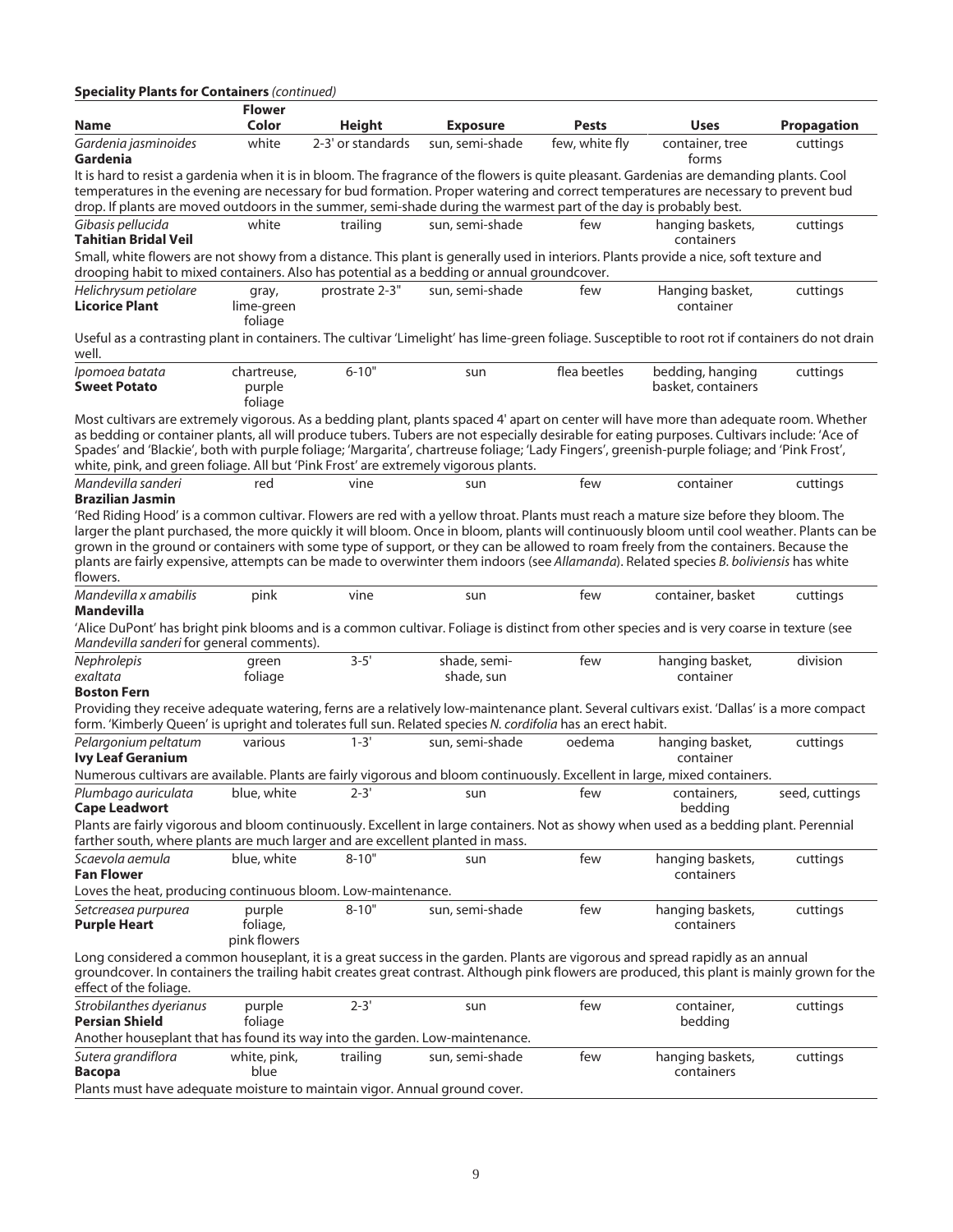| <b>Speciality Plants for Containers (continued)</b>                                                                                                                                                                                                                                                                                                                                                                                                                                                                                                                              | <b>Flower</b>                      |                   |                            |                |                                        |                    |
|----------------------------------------------------------------------------------------------------------------------------------------------------------------------------------------------------------------------------------------------------------------------------------------------------------------------------------------------------------------------------------------------------------------------------------------------------------------------------------------------------------------------------------------------------------------------------------|------------------------------------|-------------------|----------------------------|----------------|----------------------------------------|--------------------|
| <b>Name</b>                                                                                                                                                                                                                                                                                                                                                                                                                                                                                                                                                                      | Color                              | <b>Height</b>     | <b>Exposure</b>            | <b>Pests</b>   | <b>Uses</b>                            | <b>Propagation</b> |
| Gardenia jasminoides<br>Gardenia                                                                                                                                                                                                                                                                                                                                                                                                                                                                                                                                                 | white                              | 2-3' or standards | sun, semi-shade            | few, white fly | container, tree<br>forms               | cuttings           |
| It is hard to resist a gardenia when it is in bloom. The fragrance of the flowers is quite pleasant. Gardenias are demanding plants. Cool<br>temperatures in the evening are necessary for bud formation. Proper watering and correct temperatures are necessary to prevent bud<br>drop. If plants are moved outdoors in the summer, semi-shade during the warmest part of the day is probably best.                                                                                                                                                                             |                                    |                   |                            |                |                                        |                    |
| Gibasis pellucida<br><b>Tahitian Bridal Veil</b>                                                                                                                                                                                                                                                                                                                                                                                                                                                                                                                                 | white                              | trailing          | sun, semi-shade            | few            | hanging baskets,<br>containers         | cuttings           |
| Small, white flowers are not showy from a distance. This plant is generally used in interiors. Plants provide a nice, soft texture and<br>drooping habit to mixed containers. Also has potential as a bedding or annual groundcover.                                                                                                                                                                                                                                                                                                                                             |                                    |                   |                            |                |                                        |                    |
| Helichrysum petiolare<br><b>Licorice Plant</b>                                                                                                                                                                                                                                                                                                                                                                                                                                                                                                                                   | gray,<br>lime-green<br>foliage     | prostrate 2-3"    | sun, semi-shade            | few            | Hanging basket,<br>container           | cuttings           |
| Useful as a contrasting plant in containers. The cultivar 'Limelight' has lime-green foliage. Susceptible to root rot if containers do not drain<br>well.                                                                                                                                                                                                                                                                                                                                                                                                                        |                                    |                   |                            |                |                                        |                    |
| Ipomoea batata<br><b>Sweet Potato</b>                                                                                                                                                                                                                                                                                                                                                                                                                                                                                                                                            | chartreuse,<br>purple<br>foliage   | $6 - 10"$         | sun                        | flea beetles   | bedding, hanging<br>basket, containers | cuttings           |
| Most cultivars are extremely vigorous. As a bedding plant, plants spaced 4' apart on center will have more than adequate room. Whether<br>as bedding or container plants, all will produce tubers. Tubers are not especially desirable for eating purposes. Cultivars include: 'Ace of<br>Spades' and 'Blackie', both with purple foliage; 'Margarita', chartreuse foliage; 'Lady Fingers', greenish-purple foliage; and 'Pink Frost',<br>white, pink, and green foliage. All but 'Pink Frost' are extremely vigorous plants.                                                    |                                    |                   |                            |                |                                        |                    |
| Mandevilla sanderi<br><b>Brazilian Jasmin</b>                                                                                                                                                                                                                                                                                                                                                                                                                                                                                                                                    | red                                | vine              | sun                        | few            | container                              | cuttings           |
| 'Red Riding Hood' is a common cultivar. Flowers are red with a yellow throat. Plants must reach a mature size before they bloom. The<br>larger the plant purchased, the more quickly it will bloom. Once in bloom, plants will continuously bloom until cool weather. Plants can be<br>grown in the ground or containers with some type of support, or they can be allowed to roam freely from the containers. Because the<br>plants are fairly expensive, attempts can be made to overwinter them indoors (see Allamanda). Related species B. boliviensis has white<br>flowers. |                                    |                   |                            |                |                                        |                    |
| Mandevilla x amabilis<br>Mandevilla                                                                                                                                                                                                                                                                                                                                                                                                                                                                                                                                              | pink                               | vine              | sun                        | few            | container, basket                      | cuttings           |
| 'Alice DuPont' has bright pink blooms and is a common cultivar. Foliage is distinct from other species and is very coarse in texture (see<br>Mandevilla sanderi for general comments).                                                                                                                                                                                                                                                                                                                                                                                           |                                    |                   |                            |                |                                        |                    |
| Nephrolepis<br>exaltata<br><b>Boston Fern</b>                                                                                                                                                                                                                                                                                                                                                                                                                                                                                                                                    | green<br>foliage                   | $3 - 5'$          | shade, semi-<br>shade, sun | few            | hanging basket,<br>container           | division           |
| Providing they receive adequate watering, ferns are a relatively low-maintenance plant. Several cultivars exist. 'Dallas' is a more compact<br>form. 'Kimberly Queen' is upright and tolerates full sun. Related species N. cordifolia has an erect habit.                                                                                                                                                                                                                                                                                                                       |                                    |                   |                            |                |                                        |                    |
| Pelargonium peltatum<br><b>Ivy Leaf Geranium</b>                                                                                                                                                                                                                                                                                                                                                                                                                                                                                                                                 | various                            | $1 - 3'$          | sun, semi-shade            | oedema         | hanging basket,<br>container           | cuttings           |
| Numerous cultivars are available. Plants are fairly vigorous and bloom continuously. Excellent in large, mixed containers.                                                                                                                                                                                                                                                                                                                                                                                                                                                       |                                    |                   |                            |                |                                        |                    |
| Plumbago auriculata<br><b>Cape Leadwort</b>                                                                                                                                                                                                                                                                                                                                                                                                                                                                                                                                      | blue, white                        | $2 - 3'$          | sun                        | few            | containers,<br>bedding                 | seed, cuttings     |
| Plants are fairly vigorous and bloom continuously. Excellent in large containers. Not as showy when used as a bedding plant. Perennial<br>farther south, where plants are much larger and are excellent planted in mass.                                                                                                                                                                                                                                                                                                                                                         |                                    |                   |                            |                |                                        |                    |
| Scaevola aemula<br><b>Fan Flower</b>                                                                                                                                                                                                                                                                                                                                                                                                                                                                                                                                             | blue, white                        | $8 - 10"$         | sun                        | few            | hanging baskets,<br>containers         | cuttings           |
| Loves the heat, producing continuous bloom. Low-maintenance.<br>Setcreasea purpurea<br><b>Purple Heart</b>                                                                                                                                                                                                                                                                                                                                                                                                                                                                       | purple<br>foliage,<br>pink flowers | $8 - 10"$         | sun, semi-shade            | few            | hanging baskets,<br>containers         | cuttings           |
| Long considered a common houseplant, it is a great success in the garden. Plants are vigorous and spread rapidly as an annual<br>groundcover. In containers the trailing habit creates great contrast. Although pink flowers are produced, this plant is mainly grown for the<br>effect of the foliage.                                                                                                                                                                                                                                                                          |                                    |                   |                            |                |                                        |                    |
| Strobilanthes dyerianus<br>Persian Shield                                                                                                                                                                                                                                                                                                                                                                                                                                                                                                                                        | purple<br>foliage                  | $2 - 3'$          | sun                        | few            | container,<br>bedding                  | cuttings           |
| Another houseplant that has found its way into the garden. Low-maintenance.                                                                                                                                                                                                                                                                                                                                                                                                                                                                                                      |                                    |                   |                            |                |                                        |                    |
| Sutera grandiflora<br><b>Bacopa</b><br>Plants must have adequate moisture to maintain vigor. Annual ground cover.                                                                                                                                                                                                                                                                                                                                                                                                                                                                | white, pink,<br>blue               | trailing          | sun, semi-shade            | few            | hanging baskets,<br>containers         | cuttings           |